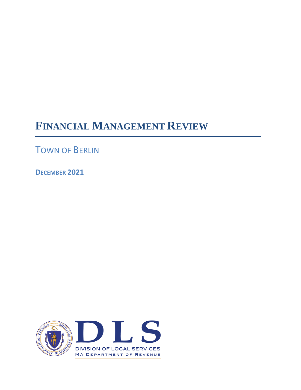# **FINANCIAL MANAGEMENT REVIEW**

TOWN OF BERLIN

**DECEMBER 2021**

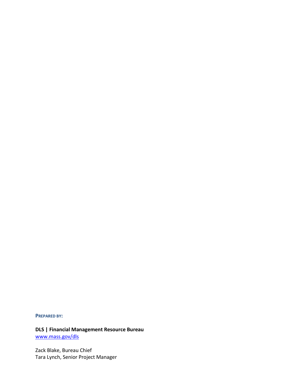#### **PREPARED BY:**

**DLS | Financial Management Resource Bureau** [www.mass.gov/dls](http://www.mass.gov/dls)

Zack Blake, Bureau Chief Tara Lynch, Senior Project Manager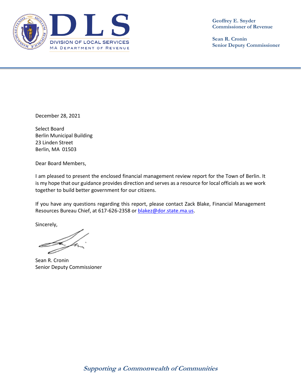

**Geoffrey E. Snyder Commissioner of Revenue**

**Sean R. Cronin Senior Deputy Commissioner**

December 28, 2021

Select Board Berlin Municipal Building 23 Linden Street Berlin, MA 01503

Dear Board Members,

I am pleased to present the enclosed financial management review report for the Town of Berlin. It is my hope that our guidance provides direction and serves as a resource for local officials as we work together to build better government for our citizens.

If you have any questions regarding this report, please contact Zack Blake, Financial Management Resources Bureau Chief, at 617-626-2358 or [blakez@dor.state.ma.us.](mailto:blakez@dor.state.ma.us)

Sincerely,

Sean R. Cronin Senior Deputy Commissioner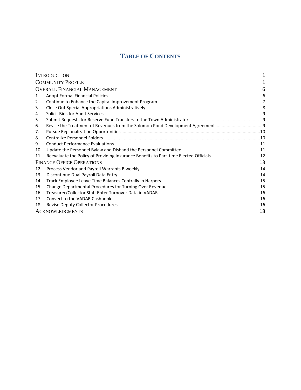# **TABLE OF CONTENTS**

| <b>INTRODUCTION</b>                 |                                                                                |    |
|-------------------------------------|--------------------------------------------------------------------------------|----|
| <b>COMMUNITY PROFILE</b>            |                                                                                |    |
| <b>OVERALL FINANCIAL MANAGEMENT</b> |                                                                                |    |
| $\mathbf{1}$ .                      |                                                                                |    |
| 2.                                  |                                                                                |    |
| 3.                                  |                                                                                |    |
| 4.                                  |                                                                                |    |
| 5.                                  |                                                                                |    |
| 6.                                  | Revise the Treatment of Revenues from the Solomon Pond Development Agreement 9 |    |
| 7.                                  |                                                                                |    |
| 8.                                  |                                                                                |    |
| 9.                                  |                                                                                |    |
| 10.                                 |                                                                                |    |
| 11.                                 |                                                                                |    |
| <b>FINANCE OFFICE OPERATIONS</b>    |                                                                                |    |
| 12.                                 |                                                                                |    |
| 13.                                 |                                                                                |    |
| 14.                                 |                                                                                |    |
| 15.                                 |                                                                                |    |
| 16.                                 |                                                                                |    |
| 17 <sub>1</sub>                     |                                                                                |    |
| 18.                                 |                                                                                |    |
|                                     | <b>ACKNOWLEDGMENTS</b>                                                         | 18 |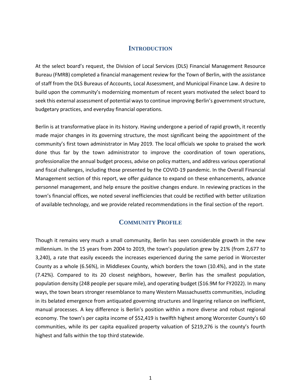# **INTRODUCTION**

<span id="page-5-0"></span>At the select board's request, the Division of Local Services (DLS) Financial Management Resource Bureau (FMRB) completed a financial management review for the Town of Berlin, with the assistance of staff from the DLS Bureaus of Accounts, Local Assessment, and Municipal Finance Law. A desire to build upon the community's modernizing momentum of recent years motivated the select board to seek this external assessment of potential ways to continue improving Berlin's government structure, budgetary practices, and everyday financial operations.

Berlin is at transformative place in its history. Having undergone a period of rapid growth, it recently made major changes in its governing structure, the most significant being the appointment of the community's first town administrator in May 2019. The local officials we spoke to praised the work done thus far by the town administrator to improve the coordination of town operations, professionalize the annual budget process, advise on policy matters, and address various operational and fiscal challenges, including those presented by the COVID-19 pandemic. In the Overall Financial Management section of this report, we offer guidance to expand on these enhancements, advance personnel management, and help ensure the positive changes endure. In reviewing practices in the town's financial offices, we noted several inefficiencies that could be rectified with better utilization of available technology, and we provide related recommendations in the final section of the report.

# **COMMUNITY PROFILE**

<span id="page-5-1"></span>Though it remains very much a small community, Berlin has seen considerable growth in the new millennium. In the 15 years from 2004 to 2019, the town's population grew by 21% (from 2,677 to 3,240), a rate that easily exceeds the increases experienced during the same period in Worcester County as a whole (6.56%), in Middlesex County, which borders the town (10.4%), and in the state (7.42%). Compared to its 20 closest neighbors, however, Berlin has the smallest population, population density (248 people per square mile), and operating budget (\$16.9M for FY2022). In many ways, the town bears stronger resemblance to many Western Massachusetts communities, including in its belated emergence from antiquated governing structures and lingering reliance on inefficient, manual processes. A key difference is Berlin's position within a more diverse and robust regional economy. The town's per capita income of \$52,419 is twelfth highest among Worcester County's 60 communities, while its per capita equalized property valuation of \$219,276 is the county's fourth highest and falls within the top third statewide.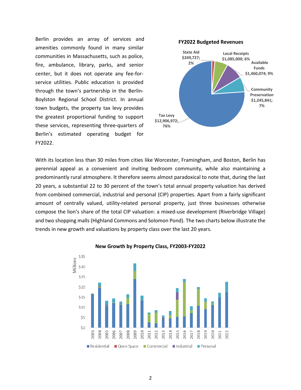Berlin provides an array of services and amenities commonly found in many similar communities in Massachusetts, such as police, fire, ambulance, library, parks, and senior center, but it does not operate any fee-forservice utilities. Public education is provided through the town's partnership in the Berlin-Boylston Regional School District. In annual town budgets, the property tax levy provides the greatest proportional funding to support these services, representing three-quarters of Berlin's estimated operating budget for FY2022.



With its location less than 30 miles from cities like Worcester, Framingham, and Boston, Berlin has perennial appeal as a convenient and inviting bedroom community, while also maintaining a predominantly rural atmosphere. It therefore seems almost paradoxical to note that, during the last 20 years, a substantial 22 to 30 percent of the town's total annual property valuation has derived from combined commercial, industrial and personal (CIP) properties. Apart from a fairly significant amount of centrally valued, utility-related personal property, just three businesses otherwise compose the lion's share of the total CIP valuation: a mixed-use development (Riverbridge Village) and two shopping malls (Highland Commons and Solomon Pond). The two charts below illustrate the trends in new growth and valuations by property class over the last 20 years.



#### **New Growth by Property Class, FY2003-FY2022**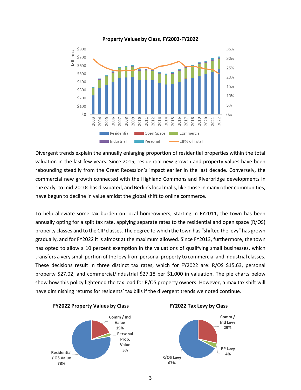

#### **Property Values by Class, FY2003-FY2022**

Divergent trends explain the annually enlarging proportion of residential properties within the total valuation in the last few years. Since 2015, residential new growth and property values have been rebounding steadily from the Great Recession's impact earlier in the last decade. Conversely, the commercial new growth connected with the Highland Commons and Riverbridge developments in the early- to mid-2010s has dissipated, and Berlin's local malls, like those in many other communities, have begun to decline in value amidst the global shift to online commerce.

To help alleviate some tax burden on local homeowners, starting in FY2011, the town has been annually opting for a split tax rate, applying separate rates to the residential and open space (R/OS) property classes and to the CIP classes. The degree to which the town has "shifted the levy" has grown gradually, and for FY2022 it is almost at the maximum allowed. Since FY2013, furthermore, the town has opted to allow a 10 percent exemption in the valuations of qualifying small businesses, which transfers a very small portion of the levy from personal property to commercial and industrial classes. These decisions result in three distinct tax rates, which for FY2022 are: R/OS \$15.63, personal property \$27.02, and commercial/industrial \$27.18 per \$1,000 in valuation. The pie charts below show how this policy lightened the tax load for R/OS property owners. However, a max tax shift will have diminishing returns for residents' tax bills if the divergent trends we noted continue.







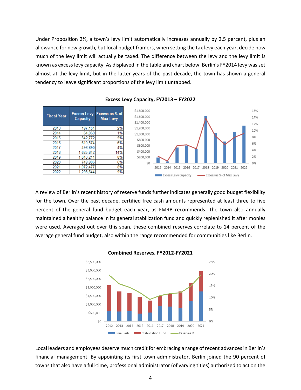Under Proposition 2½, a town's levy limit automatically increases annually by 2.5 percent, plus an allowance for new growth, but local budget framers, when setting the tax levy each year, decide how much of the levy limit will actually be taxed. The difference between the levy and the levy limit is known as excess levy capacity. As displayed in the table and chart below, Berlin's FY2014 levy was set almost at the levy limit, but in the latter years of the past decade, the town has shown a general tendency to leave significant proportions of the levy limit untapped.

| <b>Fiscal Year</b> | <b>Excess Levy</b><br>Capacity | Excess as % of<br><b>Max Levy</b> | \$1,80<br>\$1,60<br>\$1,40 |
|--------------------|--------------------------------|-----------------------------------|----------------------------|
| 2013               | 197, 154                       | 2%                                | \$1,20                     |
| 2014               | 64,069                         | 1%                                | \$1,00                     |
| 2015               | 542,772                        | 5%                                | \$80                       |
| 2016               | 610,574                        | 6%                                | \$60                       |
| 2017               | 496.890                        | 4%                                |                            |
| 2018               | 1,625,842                      | 14%                               | \$40                       |
| 2019               | 1,040,211                      | 8%                                | \$20                       |
| 2020               | 749,986                        | 6%                                |                            |
| 2021               | 1,072,477                      | 8%                                |                            |
| 2022               | 1.298.644                      | 9%                                |                            |





A review of Berlin's recent history of reserve funds further indicates generally good budget flexibility for the town. Over the past decade, certified free cash amounts represented at least three to five percent of the general fund budget each year, as FMRB recommends. The town also annually maintained a healthy balance in its general stabilization fund and quickly replenished it after monies were used. Averaged out over this span, these combined reserves correlate to 14 percent of the average general fund budget, also within the range recommended for communities like Berlin.



**Combined Reserves, FY2012-FY2021**

Local leaders and employees deserve much credit for embracing a range of recent advances in Berlin's financial management. By appointing its first town administrator, Berlin joined the 90 percent of towns that also have a full-time, professional administrator (of varying titles) authorized to act on the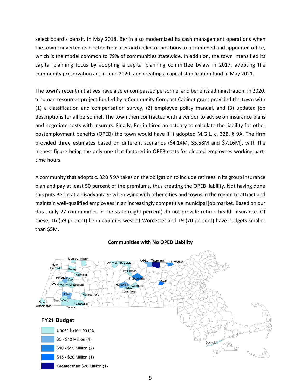select board's behalf. In May 2018, Berlin also modernized its cash management operations when the town converted its elected treasurer and collector positions to a combined and appointed office, which is the model common to 79% of communities statewide. In addition, the town intensified its capital planning focus by adopting a capital planning committee bylaw in 2017, adopting the community preservation act in June 2020, and creating a capital stabilization fund in May 2021.

The town's recent initiatives have also encompassed personnel and benefits administration. In 2020, a human resources project funded by a Community Compact Cabinet grant provided the town with (1) a classification and compensation survey, (2) employee policy manual, and (3) updated job descriptions for all personnel. The town then contracted with a vendor to advise on insurance plans and negotiate costs with insurers. Finally, Berlin hired an actuary to calculate the liability for other postemployment benefits (OPEB) the town would have if it adopted M.G.L. c. 32B, § 9A. The firm provided three estimates based on different scenarios (\$4.14M, \$5.58M and \$7.16M), with the highest figure being the only one that factored in OPEB costs for elected employees working parttime hours.

A community that adopts c. 32B § 9A takes on the obligation to include retirees in its group insurance plan and pay at least 50 percent of the premiums, thus creating the OPEB liability. Not having done this puts Berlin at a disadvantage when vying with other cities and towns in the region to attract and maintain well-qualified employees in an increasingly competitive municipal job market. Based on our data, only 27 communities in the state (eight percent) do not provide retiree health insurance. Of these, 16 (59 percent) lie in counties west of Worcester and 19 (70 percent) have budgets smaller than \$5M.



#### **Communities with No OPEB Liability**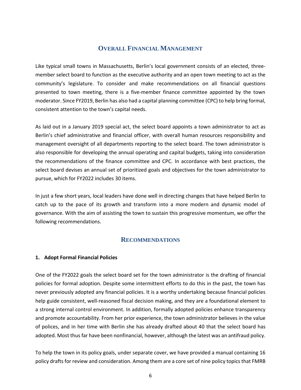# **OVERALL FINANCIAL MANAGEMENT**

<span id="page-10-0"></span>Like typical small towns in Massachusetts, Berlin's local government consists of an elected, threemember select board to function as the executive authority and an open town meeting to act as the community's legislature. To consider and make recommendations on all financial questions presented to town meeting, there is a five-member finance committee appointed by the town moderator. Since FY2019, Berlin has also had a capital planning committee (CPC) to help bring formal, consistent attention to the town's capital needs.

As laid out in a January 2019 special act, the select board appoints a town administrator to act as Berlin's chief administrative and financial officer, with overall human resources responsibility and management oversight of all departments reporting to the select board. The town administrator is also responsible for developing the annual operating and capital budgets, taking into consideration the recommendations of the finance committee and CPC. In accordance with best practices, the select board devises an annual set of prioritized goals and objectives for the town administrator to pursue, which for FY2022 includes 30 items.

In just a few short years, local leaders have done well in directing changes that have helped Berlin to catch up to the pace of its growth and transform into a more modern and dynamic model of governance. With the aim of assisting the town to sustain this progressive momentum, we offer the following recommendations.

# **RECOMMENDATIONS**

#### <span id="page-10-1"></span>**1. Adopt Formal Financial Policies**

One of the FY2022 goals the select board set for the town administrator is the drafting of financial policies for formal adoption. Despite some intermittent efforts to do this in the past, the town has never previously adopted any financial policies. It is a worthy undertaking because financial policies help guide consistent, well-reasoned fiscal decision making, and they are a foundational element to a strong internal control environment. In addition, formally adopted policies enhance transparency and promote accountability. From her prior experience, the town administrator believes in the value of polices, and in her time with Berlin she has already drafted about 40 that the select board has adopted. Most thus far have been nonfinancial, however, although the latest was an antifraud policy.

To help the town in its policy goals, under separate cover, we have provided a manual containing 16 policy drafts for review and consideration. Among them are a core set of nine policy topics that FMRB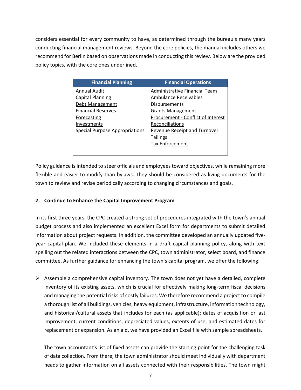considers essential for every community to have, as determined through the bureau's many years conducting financial management reviews. Beyond the core policies, the manual includes others we recommend for Berlin based on observations made in conducting this review. Below are the provided policy topics, with the core ones underlined.

| <b>Financial Planning</b>             | <b>Financial Operations</b>         |
|---------------------------------------|-------------------------------------|
| <b>Annual Audit</b>                   | Administrative Financial Team       |
| <b>Capital Planning</b>               | Ambulance Receivables               |
| Debt Management                       | <b>Disbursements</b>                |
| <b>Financial Reserves</b>             | <b>Grants Management</b>            |
| Forecasting                           | Procurement - Conflict of Interest  |
| Investments                           | Reconciliations                     |
| <b>Special Purpose Appropriations</b> | <b>Revenue Receipt and Turnover</b> |
|                                       | <b>Tailings</b>                     |
|                                       | <b>Tax Enforcement</b>              |
|                                       |                                     |

Policy guidance is intended to steer officials and employees toward objectives, while remaining more flexible and easier to modify than bylaws. They should be considered as living documents for the town to review and revise periodically according to changing circumstances and goals.

# <span id="page-11-0"></span>**2. Continue to Enhance the Capital Improvement Program**

In its first three years, the CPC created a strong set of procedures integrated with the town's annual budget process and also implemented an excellent Excel form for departments to submit detailed information about project requests. In addition, the committee developed an annually updated fiveyear capital plan. We included these elements in a draft capital planning policy, along with text spelling out the related interactions between the CPC, town administrator, select board, and finance committee. As further guidance for enhancing the town's capital program, we offer the following:

 $\triangleright$  Assemble a comprehensive capital inventory. The town does not yet have a detailed, complete inventory of its existing assets, which is crucial for effectively making long-term fiscal decisions and managing the potential risks of costly failures. We therefore recommend a project to compile a thorough list of all buildings, vehicles, heavy equipment, infrastructure, information technology, and historical/cultural assets that includes for each (as applicable): dates of acquisition or last improvement, current conditions, depreciated values, extents of use, and estimated dates for replacement or expansion. As an aid, we have provided an Excel file with sample spreadsheets.

The town accountant's list of fixed assets can provide the starting point for the challenging task of data collection. From there, the town administrator should meet individually with department heads to gather information on all assets connected with their responsibilities. The town might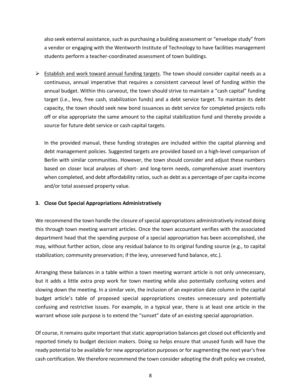also seek external assistance, such as purchasing a building assessment or "envelope study" from a vendor or engaging with the Wentworth Institute of Technology to have facilities management students perform a teacher-coordinated assessment of town buildings.

 $\triangleright$  Establish and work toward annual funding targets. The town should consider capital needs as a continuous, annual imperative that requires a consistent carveout level of funding within the annual budget. Within this carveout, the town should strive to maintain a "cash capital" funding target (i.e., levy, free cash, stabilization funds) and a debt service target. To maintain its debt capacity, the town should seek new bond issuances as debt service for completed projects rolls off or else appropriate the same amount to the capital stabilization fund and thereby provide a source for future debt service or cash capital targets.

In the provided manual, these funding strategies are included within the capital planning and debt management policies. Suggested targets are provided based on a high-level comparison of Berlin with similar communities. However, the town should consider and adjust these numbers based on closer local analyses of short- and long-term needs, comprehensive asset inventory when completed, and debt affordability ratios, such as debt as a percentage of per capita income and/or total assessed property value.

## <span id="page-12-0"></span>**3. Close Out Special Appropriations Administratively**

We recommend the town handle the closure of special appropriations administratively instead doing this through town meeting warrant articles. Once the town accountant verifies with the associated department head that the spending purpose of a special appropriation has been accomplished, she may, without further action, close any residual balance to its original funding source (e.g., to capital stabilization; community preservation; if the levy, unreserved fund balance, etc.).

Arranging these balances in a table within a town meeting warrant article is not only unnecessary, but it adds a little extra prep work for town meeting while also potentially confusing voters and slowing down the meeting. In a similar vein, the inclusion of an expiration date column in the capital budget article's table of proposed special appropriations creates unnecessary and potentially confusing and restrictive issues. For example, in a typical year, there is at least one article in the warrant whose sole purpose is to extend the "sunset" date of an existing special appropriation.

Of course, it remains quite important that static appropriation balances get closed out efficiently and reported timely to budget decision makers. Doing so helps ensure that unused funds will have the ready potential to be available for new appropriation purposes or for augmenting the next year's free cash certification. We therefore recommend the town consider adopting the draft policy we created,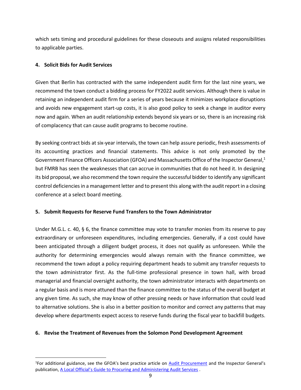which sets timing and procedural guidelines for these closeouts and assigns related responsibilities to applicable parties.

# <span id="page-13-0"></span>**4. Solicit Bids for Audit Services**

Given that Berlin has contracted with the same independent audit firm for the last nine years, we recommend the town conduct a bidding process for FY2022 audit services. Although there is value in retaining an independent audit firm for a series of years because it minimizes workplace disruptions and avoids new engagement start-up costs, it is also good policy to seek a change in auditor every now and again. When an audit relationship extends beyond six years or so, there is an increasing risk of complacency that can cause audit programs to become routine.

By seeking contract bids at six-year intervals, the town can help assure periodic, fresh assessments of its accounting practices and financial statements. This advice is not only promoted by the Government Finance Officers Association (GFOA) and Massachusetts Office of the Inspector General, 1 but FMRB has seen the weaknesses that can accrue in communities that do not heed it. In designing its bid proposal, we also recommend the town require the successful bidder to identify any significant control deficiencies in a management letter and to present this along with the audit report in a closing conference at a select board meeting.

## <span id="page-13-1"></span>**5. Submit Requests for Reserve Fund Transfers to the Town Administrator**

Under M.G.L. c. 40, § 6, the finance committee may vote to transfer monies from its reserve to pay extraordinary or unforeseen expenditures, including emergencies. Generally, if a cost could have been anticipated through a diligent budget process, it does not qualify as unforeseen. While the authority for determining emergencies would always remain with the finance committee, we recommend the town adopt a policy requiring department heads to submit any transfer requests to the town administrator first. As the full-time professional presence in town hall, with broad managerial and financial oversight authority, the town administrator interacts with departments on a regular basis and is more attuned than the finance committee to the status of the overall budget at any given time. As such, she may know of other pressing needs or have information that could lead to alternative solutions. She is also in a better position to monitor and correct any patterns that may develop where departments expect access to reserve funds during the fiscal year to backfill budgets.

## <span id="page-13-2"></span>**6. Revise the Treatment of Revenues from the Solomon Pond Development Agreement**

<sup>&</sup>lt;sup>1</sup>For additional guidance, see the GFOA's best practice article on **[Audit Procurement](https://www.gfoa.org/materials/audit-procurement)** and the Inspector General's publication, [A Local Official's Guide to Procuring and Administering Audit Services](https://www.mass.gov/files/documents/2016/08/ub/audguide.pdf) .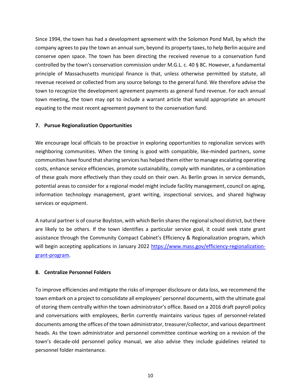Since 1994, the town has had a development agreement with the Solomon Pond Mall, by which the company agreesto pay the town an annual sum, beyond its property taxes, to help Berlin acquire and conserve open space. The town has been directing the received revenue to a conservation fund controlled by the town's conservation commission under M.G.L. c. 40 § 8C. However, a fundamental principle of Massachusetts municipal finance is that, unless otherwise permitted by statute, all revenue received or collected from any source belongs to the general fund. We therefore advise the town to recognize the development agreement payments as general fund revenue. For each annual town meeting, the town may opt to include a warrant article that would appropriate an amount equating to the most recent agreement payment to the conservation fund.

#### <span id="page-14-0"></span>**7. Pursue Regionalization Opportunities**

We encourage local officials to be proactive in exploring opportunities to regionalize services with neighboring communities. When the timing is good with compatible, like-minded partners, some communities have found that sharing services has helped them either to manage escalating operating costs, enhance service efficiencies, promote sustainability, comply with mandates, or a combination of these goals more effectively than they could on their own. As Berlin grows in service demands, potential areas to consider for a regional model might include facility management, council on aging, information technology management, grant writing, inspectional services, and shared highway services or equipment.

A natural partner is of course Boylston, with which Berlin shares the regional school district, but there are likely to be others. If the town identifies a particular service goal, it could seek state grant assistance through the Community Compact Cabinet's Efficiency & Regionalization program, which will begin accepting applications in January 2022 [https://www.mass.gov/efficiency-regionalization](https://www.mass.gov/efficiency-regionalization-grant-program)[grant-program.](https://www.mass.gov/efficiency-regionalization-grant-program)

## <span id="page-14-1"></span>**8. Centralize Personnel Folders**

To improve efficiencies and mitigate the risks of improper disclosure or data loss, we recommend the town embark on a project to consolidate all employees' personnel documents, with the ultimate goal of storing them centrally within the town administrator's office. Based on a 2016 draft payroll policy and conversations with employees, Berlin currently maintains various types of personnel-related documents among the offices of the town administrator, treasurer/collector, and various department heads. As the town administrator and personnel committee continue working on a revision of the town's decade-old personnel policy manual, we also advise they include guidelines related to personnel folder maintenance.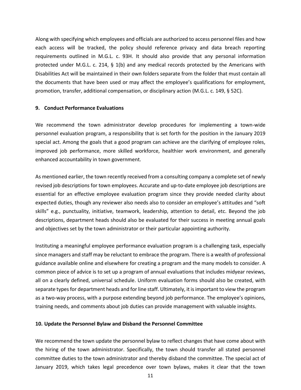Along with specifying which employees and officials are authorized to access personnel files and how each access will be tracked, the policy should reference privacy and data breach reporting requirements outlined in M.G.L. c. 93H. It should also provide that any personal information protected under M.G.L. c. 214, § 1(b) and any medical records protected by the Americans with Disabilities Act will be maintained in their own folders separate from the folder that must contain all the documents that have been used or may affect the employee's qualifications for employment, promotion, transfer, additional compensation, or disciplinary action (M.G.L. c. 149, § 52C).

#### <span id="page-15-0"></span>**9. Conduct Performance Evaluations**

We recommend the town administrator develop procedures for implementing a town-wide personnel evaluation program, a responsibility that is set forth for the position in the January 2019 special act. Among the goals that a good program can achieve are the clarifying of employee roles, improved job performance, more skilled workforce, healthier work environment, and generally enhanced accountability in town government.

As mentioned earlier, the town recently received from a consulting company a complete set of newly revised job descriptions for town employees. Accurate and up-to-date employee job descriptions are essential for an effective employee evaluation program since they provide needed clarity about expected duties, though any reviewer also needs also to consider an employee's attitudes and "soft skills" e.g., punctuality, initiative, teamwork, leadership, attention to detail, etc. Beyond the job descriptions, department heads should also be evaluated for their success in meeting annual goals and objectives set by the town administrator or their particular appointing authority.

Instituting a meaningful employee performance evaluation program is a challenging task, especially since managers and staff may be reluctant to embrace the program. There is a wealth of professional guidance available online and elsewhere for creating a program and the many models to consider. A common piece of advice is to set up a program of annual evaluations that includes midyear reviews, all on a clearly defined, universal schedule. Uniform evaluation forms should also be created, with separate types for department heads and for line staff. Ultimately, it is important to view the program as a two-way process, with a purpose extending beyond job performance. The employee's opinions, training needs, and comments about job duties can provide management with valuable insights.

#### <span id="page-15-1"></span>**10. Update the Personnel Bylaw and Disband the Personnel Committee**

We recommend the town update the personnel bylaw to reflect changes that have come about with the hiring of the town administrator. Specifically, the town should transfer all stated personnel committee duties to the town administrator and thereby disband the committee. The special act of January 2019, which takes legal precedence over town bylaws, makes it clear that the town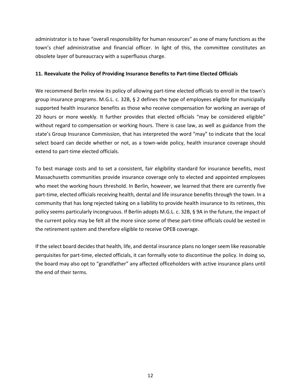administrator is to have "overall responsibility for human resources" as one of many functions as the town's chief administrative and financial officer. In light of this, the committee constitutes an obsolete layer of bureaucracy with a superfluous charge.

#### <span id="page-16-0"></span>**11. Reevaluate the Policy of Providing Insurance Benefits to Part-time Elected Officials**

We recommend Berlin review its policy of allowing part-time elected officials to enroll in the town's group insurance programs. M.G.L. c. 32B, § 2 defines the type of employees eligible for municipally supported health insurance benefits as those who receive compensation for working an average of 20 hours or more weekly. It further provides that elected officials "may be considered eligible" without regard to compensation or working hours. There is case law, as well as guidance from the state's Group Insurance Commission, that has interpreted the word "may" to indicate that the local select board can decide whether or not, as a town-wide policy, health insurance coverage should extend to part-time elected officials.

To best manage costs and to set a consistent, fair eligibility standard for insurance benefits, most Massachusetts communities provide insurance coverage only to elected and appointed employees who meet the working hours threshold. In Berlin, however, we learned that there are currently five part-time, elected officials receiving health, dental and life insurance benefits through the town. In a community that has long rejected taking on a liability to provide health insurance to its retirees, this policy seems particularly incongruous. If Berlin adopts M.G.L. c. 32B, § 9A in the future, the impact of the current policy may be felt all the more since some of these part-time officials could be vested in the retirement system and therefore eligible to receive OPEB coverage.

If the select board decides that health, life, and dental insurance plans no longer seem like reasonable perquisites for part-time, elected officials, it can formally vote to discontinue the policy. In doing so, the board may also opt to "grandfather" any affected officeholders with active insurance plans until the end of their terms.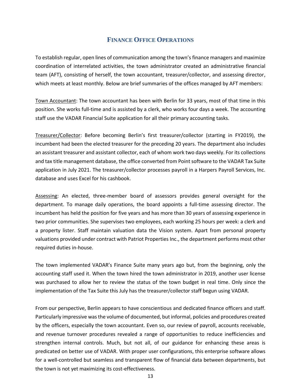# **FINANCE OFFICE OPERATIONS**

<span id="page-17-0"></span>To establish regular, open lines of communication among the town's finance managers and maximize coordination of interrelated activities, the town administrator created an administrative financial team (AFT), consisting of herself, the town accountant, treasurer/collector, and assessing director, which meets at least monthly. Below are brief summaries of the offices managed by AFT members:

Town Accountant: The town accountant has been with Berlin for 33 years, most of that time in this position. She works full-time and is assisted by a clerk, who works four days a week. The accounting staff use the VADAR Financial Suite application for all their primary accounting tasks.

Treasurer/Collector: Before becoming Berlin's first treasurer/collector (starting in FY2019), the incumbent had been the elected treasurer for the preceding 20 years. The department also includes an assistant treasurer and assistant collector, each of whom work two days weekly. For its collections and tax title management database, the office converted from Point software to the VADAR Tax Suite application in July 2021. The treasurer/collector processes payroll in a Harpers Payroll Services, Inc. database and uses Excel for his cashbook.

Assessing: An elected, three-member board of assessors provides general oversight for the department. To manage daily operations, the board appoints a full-time assessing director. The incumbent has held the position for five years and has more than 30 years of assessing experience in two prior communities. She supervises two employees, each working 25 hours per week: a clerk and a property lister. Staff maintain valuation data the Vision system. Apart from personal property valuations provided under contract with Patriot Properties Inc., the department performs most other required duties in-house.

The town implemented VADAR's Finance Suite many years ago but, from the beginning, only the accounting staff used it. When the town hired the town administrator in 2019, another user license was purchased to allow her to review the status of the town budget in real time. Only since the implementation of the Tax Suite this July has the treasurer/collector staff begun using VADAR.

From our perspective, Berlin appears to have conscientious and dedicated finance officers and staff. Particularly impressive was the volume of documented, but informal, policies and procedures created by the officers, especially the town accountant. Even so, our review of payroll, accounts receivable, and revenue turnover procedures revealed a range of opportunities to reduce inefficiencies and strengthen internal controls. Much, but not all, of our guidance for enhancing these areas is predicated on better use of VADAR. With proper user configurations, this enterprise software allows for a well-controlled but seamless and transparent flow of financial data between departments, but the town is not yet maximizing its cost-effectiveness.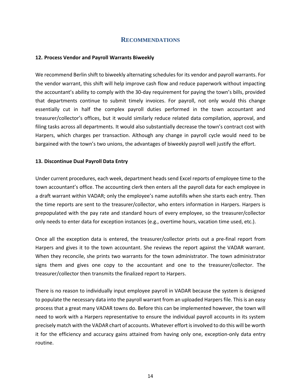# **RECOMMENDATIONS**

#### <span id="page-18-0"></span>**12. Process Vendor and Payroll Warrants Biweekly**

We recommend Berlin shift to biweekly alternating schedules for its vendor and payroll warrants. For the vendor warrant, this shift will help improve cash flow and reduce paperwork without impacting the accountant's ability to comply with the 30-day requirement for paying the town's bills, provided that departments continue to submit timely invoices. For payroll, not only would this change essentially cut in half the complex payroll duties performed in the town accountant and treasurer/collector's offices, but it would similarly reduce related data compilation, approval, and filing tasks across all departments. It would also substantially decrease the town's contract cost with Harpers, which charges per transaction. Although any change in payroll cycle would need to be bargained with the town's two unions, the advantages of biweekly payroll well justify the effort.

#### <span id="page-18-1"></span>**13. Discontinue Dual Payroll Data Entry**

Under current procedures, each week, department heads send Excel reports of employee time to the town accountant's office. The accounting clerk then enters all the payroll data for each employee in a draft warrant within VADAR; only the employee's name autofills when she starts each entry. Then the time reports are sent to the treasurer/collector, who enters information in Harpers. Harpers is prepopulated with the pay rate and standard hours of every employee, so the treasurer/collector only needs to enter data for exception instances (e.g., overtime hours, vacation time used, etc.).

Once all the exception data is entered, the treasurer/collector prints out a pre-final report from Harpers and gives it to the town accountant. She reviews the report against the VADAR warrant. When they reconcile, she prints two warrants for the town administrator. The town administrator signs them and gives one copy to the accountant and one to the treasurer/collector. The treasurer/collector then transmits the finalized report to Harpers.

There is no reason to individually input employee payroll in VADAR because the system is designed to populate the necessary data into the payroll warrant from an uploaded Harpers file. This is an easy process that a great many VADAR towns do. Before this can be implemented however, the town will need to work with a Harpers representative to ensure the individual payroll accounts in its system precisely match with the VADAR chart of accounts. Whatever effort is involved to do this will be worth it for the efficiency and accuracy gains attained from having only one, exception-only data entry routine.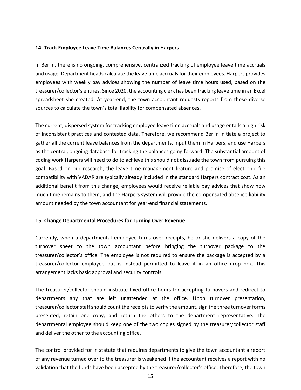#### <span id="page-19-0"></span>**14. Track Employee Leave Time Balances Centrally in Harpers**

In Berlin, there is no ongoing, comprehensive, centralized tracking of employee leave time accruals and usage. Department heads calculate the leave time accruals for their employees. Harpers provides employees with weekly pay advices showing the number of leave time hours used, based on the treasurer/collector's entries. Since 2020, the accounting clerk has been tracking leave time in an Excel spreadsheet she created. At year-end, the town accountant requests reports from these diverse sources to calculate the town's total liability for compensated absences.

The current, dispersed system for tracking employee leave time accruals and usage entails a high risk of inconsistent practices and contested data. Therefore, we recommend Berlin initiate a project to gather all the current leave balances from the departments, input them in Harpers, and use Harpers as the central, ongoing database for tracking the balances going forward. The substantial amount of coding work Harpers will need to do to achieve this should not dissuade the town from pursuing this goal. Based on our research, the leave time management feature and promise of electronic file compatibility with VADAR are typically already included in the standard Harpers contract cost. As an additional benefit from this change, employees would receive reliable pay advices that show how much time remains to them, and the Harpers system will provide the compensated absence liability amount needed by the town accountant for year-end financial statements.

## <span id="page-19-1"></span>**15. Change Departmental Procedures for Turning Over Revenue**

Currently, when a departmental employee turns over receipts, he or she delivers a copy of the turnover sheet to the town accountant before bringing the turnover package to the treasurer/collector's office. The employee is not required to ensure the package is accepted by a treasurer/collector employee but is instead permitted to leave it in an office drop box. This arrangement lacks basic approval and security controls.

The treasurer/collector should institute fixed office hours for accepting turnovers and redirect to departments any that are left unattended at the office. Upon turnover presentation, treasurer/collector staff should count the receipts to verify the amount, sign the three turnover forms presented, retain one copy, and return the others to the department representative. The departmental employee should keep one of the two copies signed by the treasurer/collector staff and deliver the other to the accounting office.

The control provided for in statute that requires departments to give the town accountant a report of any revenue turned over to the treasurer is weakened if the accountant receives a report with no validation that the funds have been accepted by the treasurer/collector's office. Therefore, the town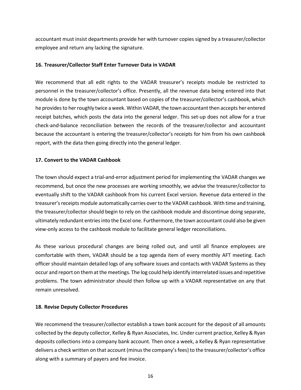accountant must insist departments provide her with turnover copies signed by a treasurer/collector employee and return any lacking the signature.

#### <span id="page-20-0"></span>**16. Treasurer/Collector Staff Enter Turnover Data in VADAR**

We recommend that all edit rights to the VADAR treasurer's receipts module be restricted to personnel in the treasurer/collector's office. Presently, all the revenue data being entered into that module is done by the town accountant based on copies of the treasurer/collector's cashbook, which he provides to her roughly twice a week. Within VADAR, the town accountant then accepts her entered receipt batches, which posts the data into the general ledger. This set-up does not allow for a true check-and-balance reconciliation between the records of the treasurer/collector and accountant because the accountant is entering the treasurer/collector's receipts for him from his own cashbook report, with the data then going directly into the general ledger.

## <span id="page-20-1"></span>**17. Convert to the VADAR Cashbook**

The town should expect a trial-and-error adjustment period for implementing the VADAR changes we recommend, but once the new processes are working smoothly, we advise the treasurer/collector to eventually shift to the VADAR cashbook from his current Excel version. Revenue data entered in the treasurer's receipts module automatically carries over to the VADAR cashbook. With time and training, the treasurer/collector should begin to rely on the cashbook module and discontinue doing separate, ultimately redundant entries into the Excel one. Furthermore, the town accountant could also be given view-only access to the cashbook module to facilitate general ledger reconciliations.

As these various procedural changes are being rolled out, and until all finance employees are comfortable with them, VADAR should be a top agenda item of every monthly AFT meeting. Each officer should maintain detailed logs of any software issues and contacts with VADAR Systems as they occur and report on them at the meetings. The log could help identify interrelated issues and repetitive problems. The town administrator should then follow up with a VADAR representative on any that remain unresolved.

## <span id="page-20-2"></span>**18. Revise Deputy Collector Procedures**

We recommend the treasurer/collector establish a town bank account for the deposit of all amounts collected by the deputy collector, Kelley & Ryan Associates, Inc. Under current practice, Kelley & Ryan deposits collections into a company bank account. Then once a week, a Kelley & Ryan representative delivers a check written on that account (minus the company's fees) to the treasurer/collector's office along with a summary of payers and fee invoice.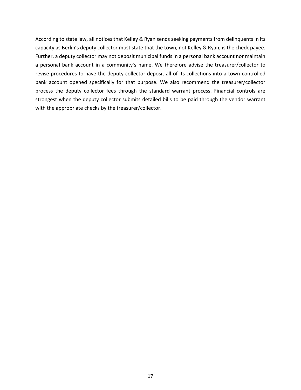According to state law, all notices that Kelley & Ryan sends seeking payments from delinquents in its capacity as Berlin's deputy collector must state that the town, not Kelley & Ryan, is the check payee. Further, a deputy collector may not deposit municipal funds in a personal bank account nor maintain a personal bank account in a community's name. We therefore advise the treasurer/collector to revise procedures to have the deputy collector deposit all of its collections into a town-controlled bank account opened specifically for that purpose. We also recommend the treasurer/collector process the deputy collector fees through the standard warrant process. Financial controls are strongest when the deputy collector submits detailed bills to be paid through the vendor warrant with the appropriate checks by the treasurer/collector.